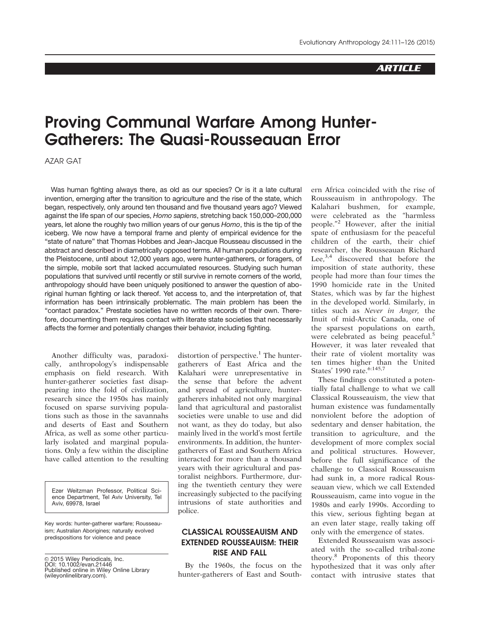#### **ARTICLE**

# Proving Communal Warfare Among Hunter-Gatherers: The Quasi-Rousseauan Error

AZAR GAT

Was human fighting always there, as old as our species? Or is it a late cultural invention, emerging after the transition to agriculture and the rise of the state, which began, respectively, only around ten thousand and five thousand years ago? Viewed against the life span of our species, Homo sapiens, stretching back 150,000–200,000 years, let alone the roughly two million years of our genus Homo, this is the tip of the iceberg. We now have a temporal frame and plenty of empirical evidence for the "state of nature" that Thomas Hobbes and Jean-Jacque Rousseau discussed in the abstract and described in diametrically opposed terms. All human populations during the Pleistocene, until about 12,000 years ago, were hunter-gatherers, or foragers, of the simple, mobile sort that lacked accumulated resources. Studying such human populations that survived until recently or still survive in remote corners of the world, anthropology should have been uniquely positioned to answer the question of aboriginal human fighting or lack thereof. Yet access to, and the interpretation of, that information has been intrinsically problematic. The main problem has been the "contact paradox." Prestate societies have no written records of their own. Therefore, documenting them requires contact with literate state societies that necessarily affects the former and potentially changes their behavior, including fighting.

Another difficulty was, paradoxically, anthropology's indispensable emphasis on field research. With hunter-gatherer societies fast disappearing into the fold of civilization, research since the 1950s has mainly focused on sparse surviving populations such as those in the savannahs and deserts of East and Southern Africa, as well as some other particularly isolated and marginal populations. Only a few within the discipline have called attention to the resulting

Ezer Weitzman Professor, Political Science Department, Tel Aviv University, Tel Aviv, 69978, Israel

Key words: hunter-gatherer warfare; Rousseauism; Australian Aborigines; naturally evolved predispositions for violence and peace

© 2015 Wiley Periodicals, Inc. DOI: 10.1002/evan.21446 Published online in Wiley Online Library (wileyonlinelibrary.com).

distortion of perspective.<sup>1</sup> The huntergatherers of East Africa and the Kalahari were unrepresentative in the sense that before the advent and spread of agriculture, huntergatherers inhabited not only marginal land that agricultural and pastoralist societies were unable to use and did not want, as they do today, but also mainly lived in the world's most fertile environments. In addition, the huntergatherers of East and Southern Africa interacted for more than a thousand years with their agricultural and pastoralist neighbors. Furthermore, during the twentieth century they were increasingly subjected to the pacifying intrusions of state authorities and police.

#### CLASSICAL ROUSSEAUISM AND EXTENDED ROUSSEAUISM: THEIR RISE AND FALL

By the 1960s, the focus on the hunter-gatherers of East and Southern Africa coincided with the rise of Rousseauism in anthropology. The Kalahari bushmen, for example, were celebrated as the "harmless people."2 However, after the initial spate of enthusiasm for the peaceful children of the earth, their chief researcher, the Rousseauan Richard Lee,<sup>3,4</sup> discovered that before the imposition of state authority, these people had more than four times the 1990 homicide rate in the United States, which was by far the highest in the developed world. Similarly, in titles such as Never in Anger, the Inuit of mid-Arctic Canada, one of the sparsest populations on earth, were celebrated as being peaceful.<sup>5</sup> However, it was later revealed that their rate of violent mortality was ten times higher than the United States' 1990 rate.<sup>6:145,7</sup>

These findings constituted a potentially fatal challenge to what we call Classical Rousseauism, the view that human existence was fundamentally nonviolent before the adoption of sedentary and denser habitation, the transition to agriculture, and the development of more complex social and political structures. However, before the full significance of the challenge to Classical Rousseauism had sunk in, a more radical Rousseauan view, which we call Extended Rousseauism, came into vogue in the 1980s and early 1990s. According to this view, serious fighting began at an even later stage, really taking off only with the emergence of states.

Extended Rousseauism was associated with the so-called tribal-zone theory.8 Proponents of this theory hypothesized that it was only after contact with intrusive states that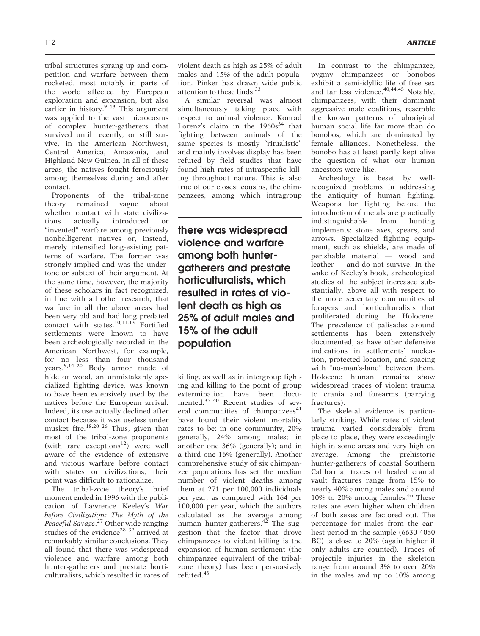tribal structures sprang up and competition and warfare between them rocketed, most notably in parts of the world affected by European exploration and expansion, but also earlier in history. $9-13$  This argument was applied to the vast microcosms of complex hunter-gatherers that survived until recently, or still survive, in the American Northwest, Central America, Amazonia, and Highland New Guinea. In all of these areas, the natives fought ferociously among themselves during and after contact.

Proponents of the tribal-zone theory remained vague about whether contact with state civilizations actually introduced or "invented" warfare among previously nonbelligerent natives or, instead, merely intensified long-existing patterns of warfare. The former was strongly implied and was the undertone or subtext of their argument. At the same time, however, the majority of these scholars in fact recognized, in line with all other research, that warfare in all the above areas had been very old and had long predated contact with states.<sup>10,11,13</sup> Fortified settlements were known to have been archeologically recorded in the American Northwest, for example, for no less than four thousand years.<sup>9,14-20</sup> Body armor made of hide or wood, an unmistakably specialized fighting device, was known to have been extensively used by the natives before the European arrival. Indeed, its use actually declined after contact because it was useless under musket fire.<sup>18,20–26</sup> Thus, given that most of the tribal-zone proponents (with rare exceptions $12$ ) were well aware of the evidence of extensive and vicious warfare before contact with states or civilizations, their point was difficult to rationalize.

The tribal-zone theory's brief moment ended in 1996 with the publication of Lawrence Keeley's War before Civilization: The Myth of the Peaceful Savage.<sup>27</sup> Other wide-ranging studies of the evidence<sup>28–32</sup> arrived at remarkably similar conclusions. They all found that there was widespread violence and warfare among both hunter-gatherers and prestate horticulturalists, which resulted in rates of violent death as high as 25% of adult males and 15% of the adult population. Pinker has drawn wide public attention to these finds.<sup>33</sup>

A similar reversal was almost simultaneously taking place with respect to animal violence. Konrad Lorenz's claim in the  $1960s^{34}$  that fighting between animals of the same species is mostly "ritualistic" and mainly involves display has been refuted by field studies that have found high rates of intraspecific killing throughout nature. This is also true of our closest cousins, the chimpanzees, among which intragroup

there was widespread violence and warfare among both huntergatherers and prestate horticulturalists, which resulted in rates of violent death as high as 25% of adult males and 15% of the adult population

killing, as well as in intergroup fighting and killing to the point of group extermination have been documented.35–40 Recent studies of several communities of chimpanzees<sup>41</sup> have found their violent mortality rates to be: in one community, 20% generally, 24% among males; in another one 36% (generally); and in a third one 16% (generally). Another comprehensive study of six chimpanzee populations has set the median number of violent deaths among them at 271 per 100,000 individuals per year, as compared with 164 per 100,000 per year, which the authors calculated as the average among human hunter-gatherers.<sup>42</sup> The suggestion that the factor that drove chimpanzees to violent killing is the expansion of human settlement (the chimpanzee equivalent of the tribalzone theory) has been persuasively refuted.<sup>43</sup>

In contrast to the chimpanzee, pygmy chimpanzees or bonobos exhibit a semi-idyllic life of free sex and far less violence.<sup>40,44,45</sup> Notably, chimpanzees, with their dominant aggressive male coalitions, resemble the known patterns of aboriginal human social life far more than do bonobos, which are dominated by female alliances. Nonetheless, the bonobo has at least partly kept alive the question of what our human ancestors were like.

Archeology is beset by wellrecognized problems in addressing the antiquity of human fighting. Weapons for fighting before the introduction of metals are practically indistinguishable from hunting implements: stone axes, spears, and arrows. Specialized fighting equipment, such as shields, are made of perishable material — wood and leather — and do not survive. In the wake of Keeley's book, archeological studies of the subject increased substantially, above all with respect to the more sedentary communities of foragers and horticulturalists that proliferated during the Holocene. The prevalence of palisades around settlements has been extensively documented, as have other defensive indications in settlements' nucleation, protected location, and spacing with "no-man's-land" between them. Holocene human remains show widespread traces of violent trauma to crania and forearms (parrying fractures).

The skeletal evidence is particularly striking. While rates of violent trauma varied considerably from place to place, they were exceedingly high in some areas and very high on average. Among the prehistoric hunter-gatherers of coastal Southern California, traces of healed cranial vault fractures range from 15% to nearly 40% among males and around 10% to 20% among females. $46$  These rates are even higher when children of both sexes are factored out. The percentage for males from the earliest period in the sample (6630-4050 BC) is close to 20% (again higher if only adults are counted). Traces of projectile injuries in the skeleton range from around 3% to over 20% in the males and up to 10% among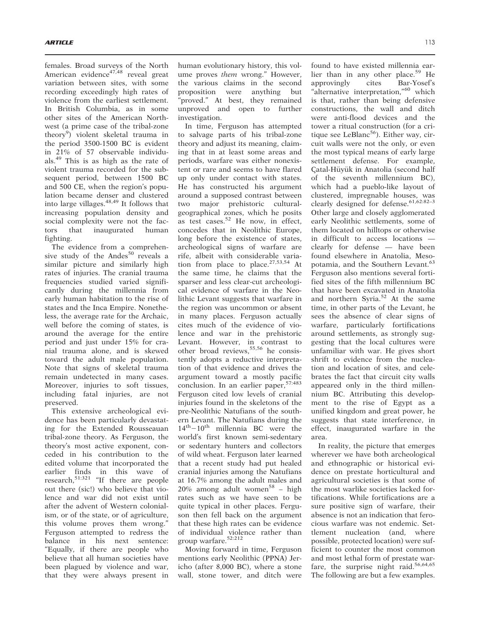females. Broad surveys of the North American evidence $47,48$  reveal great variation between sites, with some recording exceedingly high rates of violence from the earliest settlement. In British Columbia, as in some other sites of the American Northwest (a prime case of the tribal-zone theory<sup>9</sup>) violent skeletal trauma in the period 3500-1500 BC is evident in 21% of 57 observable individuals.<sup>49</sup> This is as high as the rate of violent trauma recorded for the subsequent period, between 1500 BC and 500 CE, when the region's population became denser and clustered into large villages. $48,49$  It follows that increasing population density and social complexity were not the factors that inaugurated human fighting.

The evidence from a comprehensive study of the Andes<sup>50</sup> reveals a similar picture and similarly high rates of injuries. The cranial trauma frequencies studied varied significantly during the millennia from early human habitation to the rise of states and the Inca Empire. Nonetheless, the average rate for the Archaic, well before the coming of states, is around the average for the entire period and just under 15% for cranial trauma alone, and is skewed toward the adult male population. Note that signs of skeletal trauma remain undetected in many cases. Moreover, injuries to soft tissues, including fatal injuries, are not preserved.

This extensive archeological evidence has been particularly devastating for the Extended Rousseauan tribal-zone theory. As Ferguson, the theory's most active exponent, conceded in his contribution to the edited volume that incorporated the earlier finds in this wave of research,51:321 "If there are people out there (sic!) who believe that violence and war did not exist until after the advent of Western colonialism, or of the state, or of agriculture, this volume proves them wrong." Ferguson attempted to redress the balance in his next sentence: "Equally, if there are people who believe that all human societies have been plagued by violence and war, that they were always present in human evolutionary history, this volume proves them wrong." However, the various claims in the second proposition were anything but "proved." At best, they remained unproved and open to further investigation.

In time, Ferguson has attempted to salvage parts of his tribal-zone theory and adjust its meaning, claiming that in at least some areas and periods, warfare was either nonexistent or rare and seems to have flared up only under contact with states. He has constructed his argument around a supposed contrast between two major prehistoric culturalgeographical zones, which he posits as test cases. $52$  He now, in effect, concedes that in Neolithic Europe, long before the existence of states, archeological signs of warfare are rife, albeit with considerable variation from place to place. $27,53,54$  At the same time, he claims that the sparser and less clear-cut archeological evidence of warfare in the Neolithic Levant suggests that warfare in the region was uncommon or absent in many places. Ferguson actually cites much of the evidence of violence and war in the prehistoric Levant. However, in contrast to other broad reviews,<sup>55,56</sup> he consistently adopts a reductive interpretation of that evidence and drives the argument toward a mostly pacific conclusion. In an earlier paper,<sup>57:483</sup> Ferguson cited low levels of cranial injuries found in the skeletons of the pre-Neolithic Natufians of the southern Levant. The Natufians during the  $14<sup>th</sup> - 10<sup>th</sup>$  millennia BC were the world's first known semi-sedentary or sedentary hunters and collectors of wild wheat. Ferguson later learned that a recent study had put healed cranial injuries among the Natufians at 16.7% among the adult males and  $20\%$  among adult women<sup>58</sup> - high rates such as we have seen to be quite typical in other places. Ferguson then fell back on the argument that these high rates can be evidence of individual violence rather than group warfare.<sup>52:212</sup>

Moving forward in time, Ferguson mentions early Neolithic (PPNA) Jericho (after 8,000 BC), where a stone wall, stone tower, and ditch were

found to have existed millennia earlier than in any other place.<sup>59</sup> He approvingly cites Bar-Yosef's "alternative interpretation,"<sup>60</sup> which is that, rather than being defensive constructions, the wall and ditch were anti-flood devices and the tower a ritual construction (for a critique see LeBlanc<sup>56</sup>). Either way, circuit walls were not the only, or even the most typical means of early large settlement defense. For example, Catal-Hüyük in Anatolia (second half of the seventh millennium BC), which had a pueblo-like layout of clustered, impregnable houses, was clearly designed for defense.<sup>61,62:82-3</sup> Other large and closely agglomerated early Neolithic settlements, some of them located on hilltops or otherwise in difficult to access locations clearly for defense — have been found elsewhere in Anatolia, Mesopotamia, and the Southern Levant.<sup>63</sup> Ferguson also mentions several fortified sites of the fifth millennium BC that have been excavated in Anatolia and northern Syria.<sup>52</sup> At the same time, in other parts of the Levant, he sees the absence of clear signs of warfare, particularly fortifications around settlements, as strongly suggesting that the local cultures were unfamiliar with war. He gives short shrift to evidence from the nucleation and location of sites, and celebrates the fact that circuit city walls appeared only in the third millennium BC. Attributing this development to the rise of Egypt as a unified kingdom and great power, he suggests that state interference, in effect, inaugurated warfare in the area.

In reality, the picture that emerges wherever we have both archeological and ethnographic or historical evidence on prestate horticultural and agricultural societies is that some of the most warlike societies lacked fortifications. While fortifications are a sure positive sign of warfare, their absence is not an indication that ferocious warfare was not endemic. Settlement nucleation (and, where possible, protected location) were sufficient to counter the most common and most lethal form of prestate warfare, the surprise night raid.56,64,65 The following are but a few examples.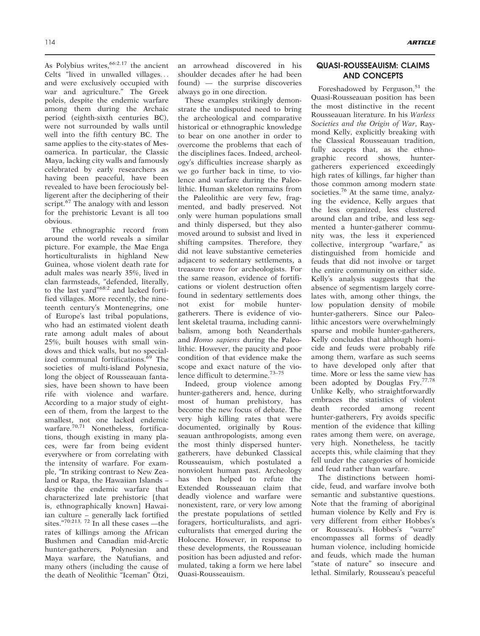As Polybius writes,  $66:2.17$  the ancient Celts "lived in unwalled villages... and were exclusively occupied with war and agriculture." The Greek poleis, despite the endemic warfare among them during the Archaic period (eighth-sixth centuries BC), were not surrounded by walls until well into the fifth century BC. The same applies to the city-states of Mesoamerica. In particular, the Classic Maya, lacking city walls and famously celebrated by early researchers as having been peaceful, have been revealed to have been ferociously belligerent after the deciphering of their script.<sup>67</sup> The analogy with and lesson for the prehistoric Levant is all too obvious.

The ethnographic record from around the world reveals a similar picture. For example, the Mae Enga horticulturalists in highland New Guinea, whose violent death rate for adult males was nearly 35%, lived in clan farmsteads, "defended, literally, to the last yard"68:2 and lacked fortified villages. More recently, the nineteenth century's Montenegrins, one of Europe's last tribal populations, who had an estimated violent death rate among adult males of about 25%, built houses with small windows and thick walls, but no specialized communal fortifications. $\delta^9$  The societies of multi-island Polynesia, long the object of Rousseauan fantasies, have been shown to have been rife with violence and warfare. According to a major study of eighteen of them, from the largest to the smallest, not one lacked endemic warfare.<sup>70,71</sup> Nonetheless, fortifications, though existing in many places, were far from being evident everywhere or from correlating with the intensity of warfare. For example, "In striking contrast to New Zealand or Rapa, the Hawaiian Islands – despite the endemic warfare that characterized late prehistoric [that is, ethnographically known] Hawaiian culture – generally lack fortified sites."<sup>70:213, 72</sup> In all these cases —the rates of killings among the African Bushmen and Canadian mid-Arctic hunter-gatherers, Polynesian and Maya warfare, the Natufians, and many others (including the cause of the death of Neolithic "Iceman" Ötzi, an arrowhead discovered in his shoulder decades after he had been found) — the surprise discoveries always go in one direction.

These examples strikingly demonstrate the undisputed need to bring the archeological and comparative historical or ethnographic knowledge to bear on one another in order to overcome the problems that each of the disciplines faces. Indeed, archeology's difficulties increase sharply as we go further back in time, to violence and warfare during the Paleolithic. Human skeleton remains from the Paleolithic are very few, fragmented, and badly preserved. Not only were human populations small and thinly dispersed, but they also moved around to subsist and lived in shifting campsites. Therefore, they did not leave substantive cemeteries adjacent to sedentary settlements, a treasure trove for archeologists. For the same reason, evidence of fortifications or violent destruction often found in sedentary settlements does not exist for mobile huntergatherers. There is evidence of violent skeletal trauma, including cannibalism, among both Neanderthals and Homo sapiens during the Paleolithic. However, the paucity and poor condition of that evidence make the scope and exact nature of the violence difficult to determine.73–75

Indeed, group violence among hunter-gatherers and, hence, during most of human prehistory, has become the new focus of debate. The very high killing rates that were documented, originally by Rousseauan anthropologists, among even the most thinly dispersed huntergatherers, have debunked Classical Rousseauism, which postulated a nonviolent human past. Archeology has then helped to refute the Extended Rousseauan claim that deadly violence and warfare were nonexistent, rare, or very low among the prestate populations of settled foragers, horticulturalists, and agriculturalists that emerged during the Holocene. However, in response to these developments, the Rousseauan position has been adjusted and reformulated, taking a form we here label Quasi-Rousseauism.

#### QUASI-ROUSSEAUISM: CLAIMS AND CONCEPTS

Foreshadowed by Ferguson, $51$  the Quasi-Rousseauan position has been the most distinctive in the recent Rousseauan literature. In his Warless Societies and the Origin of War, Raymond Kelly, explicitly breaking with the Classical Rousseauan tradition, fully accepts that, as the ethnographic record shows, huntergatherers experienced exceedingly high rates of killings, far higher than those common among modern state societies.<sup>76</sup> At the same time, analyzing the evidence, Kelly argues that the less organized, less clustered around clan and tribe, and less segmented a hunter-gatherer community was, the less it experienced collective, intergroup "warfare," as distinguished from homicide and feuds that did not involve or target the entire community on either side. Kelly's analysis suggests that the absence of segmentism largely correlates with, among other things, the low population density of mobile hunter-gatherers. Since our Paleolithic ancestors were overwhelmingly sparse and mobile hunter-gatherers, Kelly concludes that although homicide and feuds were probably rife among them, warfare as such seems to have developed only after that time. More or less the same view has been adopted by Douglas Fry.<sup>77,78</sup> Unlike Kelly, who straightforwardly embraces the statistics of violent death recorded among recent hunter-gatherers, Fry avoids specific mention of the evidence that killing rates among them were, on average, very high. Nonetheless, he tacitly accepts this, while claiming that they fell under the categories of homicide and feud rather than warfare.

The distinctions between homicide, feud, and warfare involve both semantic and substantive questions. Note that the framing of aboriginal human violence by Kelly and Fry is very different from either Hobbes's or Rousseau's. Hobbes's "warre" encompasses all forms of deadly human violence, including homicide and feuds, which made the human "state of nature" so insecure and lethal. Similarly, Rousseau's peaceful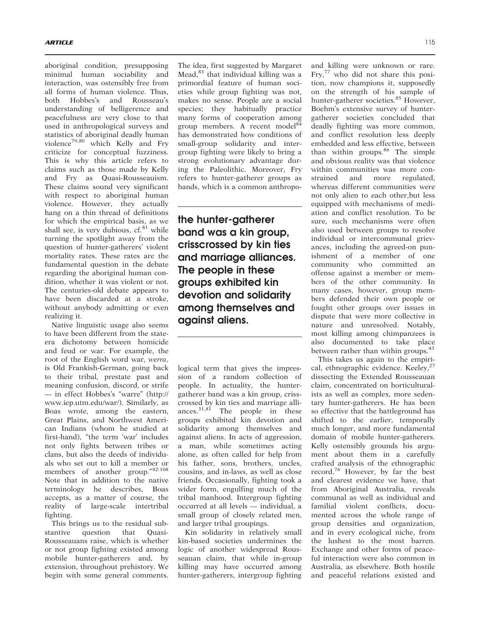aboriginal condition, presupposing minimal human sociability and interaction, was ostensibly free from all forms of human violence. Thus, both Hobbes's and Rousseau's understanding of belligerence and peacefulness are very close to that used in anthropological surveys and statistics of aboriginal deadly human violence79,80 which Kelly and Fry criticize for conceptual fuzziness. This is why this article refers to claims such as those made by Kelly and Fry as Quasi-Rousseauism. These claims sound very significant with respect to aboriginal human violence. However, they actually hang on a thin thread of definitions for which the empirical basis, as we shall see, is very dubious,  $cf.<sup>81</sup>$  while turning the spotlight away from the question of hunter-gatherers' violent mortality rates. These rates are the fundamental question in the debate regarding the aboriginal human condition, whether it was violent or not. The centuries-old debate appears to have been discarded at a stroke, without anybody admitting or even realizing it.

Native linguistic usage also seems to have been different from the stateera dichotomy between homicide and feud or war. For example, the root of the English word war, werra, is Old Frankish-German, going back to their tribal, prestate past and meaning confusion, discord, or strife — in effect Hobbes's "warre" [\(http://](http://www.iep.utm.edu/war/) [www.iep.utm.edu/war/\)](http://www.iep.utm.edu/war/). Similarly, as Boas wrote, among the eastern, Great Plains, and Northwest American Indians (whom he studied at first-hand), "the term 'war' includes not only fights between tribes or clans, but also the deeds of individuals who set out to kill a member or members of another group."82:108 Note that in addition to the native terminology he describes, Boas accepts, as a matter of course, the reality of large-scale intertribal fighting.

This brings us to the residual substantive question that Quasi-Rousseauans raise, which is whether or not group fighting existed among mobile hunter-gatherers and, by extension, throughout prehistory. We begin with some general comments.

The idea, first suggested by Margaret Mead, $83$  that individual killing was a primordial feature of human societies while group fighting was not, makes no sense. People are a social species; they habitually practice many forms of cooperation among group members. A recent model<sup>84</sup> has demonstrated how conditions of small-group solidarity and intergroup fighting were likely to bring a strong evolutionary advantage during the Paleolithic. Moreover, Fry refers to hunter-gatherer groups as bands, which is a common anthropo-

the hunter-gatherer band was a kin group, crisscrossed by kin ties and marriage alliances. The people in these groups exhibited kin devotion and solidarity among themselves and against aliens.

logical term that gives the impression of a random collection of people. In actuality, the huntergatherer band was a kin group, crisscrossed by kin ties and marriage alliances.<sup>31,81</sup> The people in these groups exhibited kin devotion and solidarity among themselves and against aliens. In acts of aggression, a man, while sometimes acting alone, as often called for help from his father, sons, brothers, uncles, cousins, and in-laws, as well as close friends. Occasionally, fighting took a wider form, engulfing much of the tribal manhood. Intergroup fighting occurred at all levels — individual, a small group of closely related men, and larger tribal groupings.

Kin solidarity in relatively small kin-based societies undermines the logic of another widespread Rousseauan claim, that while in-group killing may have occurred among hunter-gatherers, intergroup fighting

and killing were unknown or rare. Fry,77 who did not share this position, now champions it, supposedly on the strength of his sample of hunter-gatherer societies.<sup>85</sup> However, Boehm's extensive survey of huntergatherer societies concluded that deadly fighting was more common, and conflict resolution less deeply embedded and less effective, between than within groups.<sup>86</sup> The simple and obvious reality was that violence within communities was more constrained and more regulated, whereas different communities were not only alien to each other,but less equipped with mechanisms of mediation and conflict resolution. To be sure, such mechanisms were often also used between groups to resolve individual or intercommunal grievances, including the agreed-on punishment of a member of one community who committed an offense against a member or members of the other community. In many cases, however, group members defended their own people or fought other groups over issues in dispute that were more collective in nature and unresolved. Notably, most killing among chimpanzees is also documented to take place between rather than within groups.<sup>43</sup>

This takes us again to the empirical, ethnographic evidence. Keeley,<sup>27</sup> dissecting the Extended Rousseauan claim, concentrated on horticulturalists as well as complex, more sedentary hunter-gatherers. He has been so effective that the battleground has shifted to the earlier, temporally much longer, and more fundamental domain of mobile hunter-gatherers. Kelly ostensibly grounds his argument about them in a carefully crafted analysis of the ethnographic record.76 However, by far the best and clearest evidence we have, that from Aboriginal Australia, reveals communal as well as individual and familial violent conflicts, documented across the whole range of group densities and organization, and in every ecological niche, from the lushest to the most barren. Exchange and other forms of peaceful interaction were also common in Australia, as elsewhere. Both hostile and peaceful relations existed and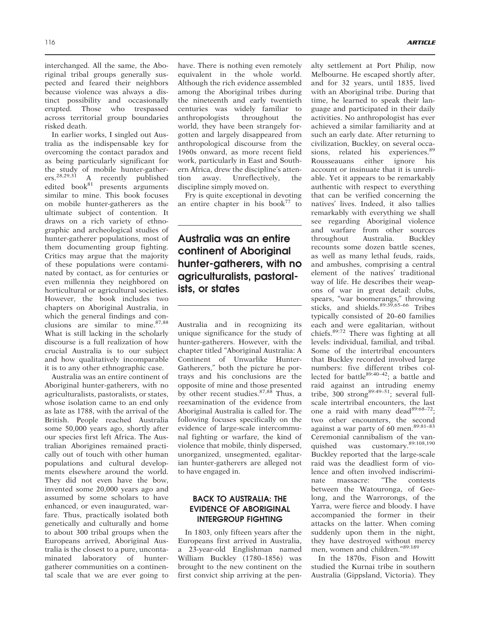interchanged. All the same, the Aboriginal tribal groups generally suspected and feared their neighbors because violence was always a distinct possibility and occasionally erupted. Those who trespassed across territorial group boundaries risked death.

In earlier works, I singled out Australia as the indispensable key for overcoming the contact paradox and as being particularly significant for the study of mobile hunter-gather-<br>ers.  $28,29,31$  A recently published ers.<sup>28,29,31</sup> A recently published edited book $81$  presents arguments similar to mine. This book focuses on mobile hunter-gatherers as the ultimate subject of contention. It draws on a rich variety of ethnographic and archeological studies of hunter-gatherer populations, most of them documenting group fighting. Critics may argue that the majority of these populations were contaminated by contact, as for centuries or even millennia they neighbored on horticultural or agricultural societies. However, the book includes two chapters on Aboriginal Australia, in which the general findings and conclusions are similar to mine. $87,88$ What is still lacking in the scholarly discourse is a full realization of how crucial Australia is to our subject and how qualitatively incomparable it is to any other ethnographic case.

Australia was an entire continent of Aboriginal hunter-gatherers, with no agriculturalists, pastoralists, or states, whose isolation came to an end only as late as 1788, with the arrival of the British. People reached Australia some 50,000 years ago, shortly after our species first left Africa. The Australian Aborigines remained practically out of touch with other human populations and cultural developments elsewhere around the world. They did not even have the bow, invented some 20,000 years ago and assumed by some scholars to have enhanced, or even inaugurated, warfare. Thus, practically isolated both genetically and culturally and home to about 300 tribal groups when the Europeans arrived, Aboriginal Australia is the closest to a pure, uncontaminated laboratory of huntergatherer communities on a continental scale that we are ever going to have. There is nothing even remotely equivalent in the whole world. Although the rich evidence assembled among the Aboriginal tribes during the nineteenth and early twentieth centuries was widely familiar to anthropologists throughout the world, they have been strangely forgotten and largely disappeared from anthropological discourse from the 1960s onward, as more recent field work, particularly in East and Southern Africa, drew the discipline's attention away. Unreflectively, the discipline simply moved on.

Fry is quite exceptional in devoting an entire chapter in his book $^{77}$  to

# Australia was an entire continent of Aboriginal hunter-gatherers, with no agriculturalists, pastoralists, or states

Australia and in recognizing its unique significance for the study of hunter-gatherers. However, with the chapter titled "Aboriginal Australia: A Continent of Unwarlike Hunter-Gatherers," both the picture he portrays and his conclusions are the opposite of mine and those presented by other recent studies.  $87,88$  Thus, a reexamination of the evidence from Aboriginal Australia is called for. The following focuses specifically on the evidence of large-scale intercommunal fighting or warfare, the kind of violence that mobile, thinly dispersed, unorganized, unsegmented, egalitarian hunter-gatherers are alleged not to have engaged in.

#### BACK TO AUSTRALIA: THE EVIDENCE OF ABORIGINAL INTERGROUP FIGHTING

In 1803, only fifteen years after the Europeans first arrived in Australia, a 23-year-old Englishman named William Buckley (1780–1856) was brought to the new continent on the first convict ship arriving at the penalty settlement at Port Philip, now Melbourne. He escaped shortly after, and for 32 years, until 1835, lived with an Aboriginal tribe. During that time, he learned to speak their language and participated in their daily activities. No anthropologist has ever achieved a similar familiarity and at such an early date. After returning to civilization, Buckley, on several occasions, related his experiences.<sup>89</sup> Rousseauans either ignore his account or insinuate that it is unreliable. Yet it appears to be remarkably authentic with respect to everything that can be verified concerning the natives' lives. Indeed, it also tallies remarkably with everything we shall see regarding Aboriginal violence and warfare from other sources<br>throughout Australia. Buckley throughout Australia. recounts some dozen battle scenes, as well as many lethal feuds, raids, and ambushes, comprising a central element of the natives' traditional way of life. He describes their weapons of war in great detail: clubs, spears, "war boomerangs," throwing sticks, and shields.<sup>89:39,65–66</sup> Tribes typically consisted of 20–60 families each and were egalitarian, without chiefs.89:72 There was fighting at all levels: individual, familial, and tribal. Some of the intertribal encounters that Buckley recorded involved large numbers: five different tribes collected for battle<sup>89:40–42</sup>; a battle and raid against an intruding enemy tribe, 300 strong<sup>89:49-51</sup>; several fullscale intertribal encounters, the last one a raid with many dead<sup>89:68-72</sup>: two other encounters, the second against a war party of 60 men. $89:81-83$ Ceremonial cannibalism of the vanquished was customary.<sup>89:108,190</sup> Buckley reported that the large-scale raid was the deadliest form of violence and often involved indiscriminate massacre: "The contests between the Watouronga, of Geelong, and the Warrorongs, of the Yarra, were fierce and bloody. I have accompanied the former in their attacks on the latter. When coming suddenly upon them in the night, they have destroyed without mercy men, women and children."89:189

In the 1870s, Fison and Howitt studied the Kurnai tribe in southern Australia (Gippsland, Victoria). They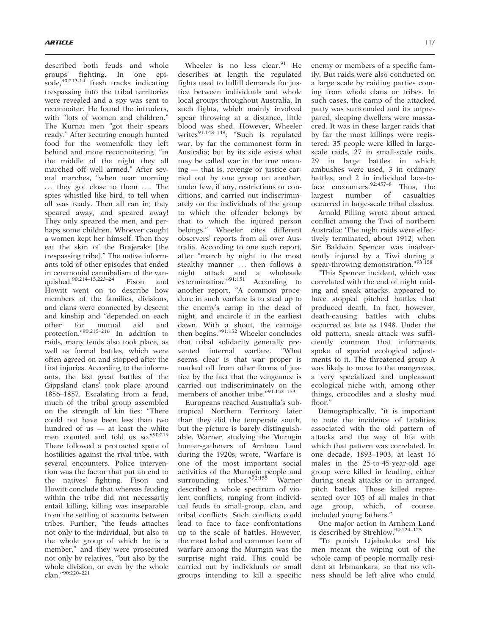described both feuds and whole groups' fighting. In one episode.<sup>90:213-14</sup> fresh tracks indicating trespassing into the tribal territories were revealed and a spy was sent to reconnoiter. He found the intruders, with "lots of women and children." The Kurnai men "got their spears ready." After securing enough hunted food for the womenfolk they left behind and more reconnoitering, "in the middle of the night they all marched off well armed." After several marches, "when near morning ... they got close to them .... The spies whistled like bird, to tell when all was ready. Then all ran in; they speared away, and speared away! They only speared the men, and perhaps some children. Whoever caught a women kept her himself. Then they eat the skin of the Brajeraks [the trespassing tribe]." The native informants told of other episodes that ended in ceremonial cannibalism of the vanquished. $90:214-15,223-24$  Fison and Howitt went on to describe how members of the families, divisions, and clans were connected by descent and kinship and "depended on each other for mutual aid and protection."90:215–216 In addition to raids, many feuds also took place, as well as formal battles, which were often agreed on and stopped after the first injuries. According to the informants, the last great battles of the Gippsland clans' took place around 1856–1857. Escalating from a feud, much of the tribal group assembled on the strength of kin ties: "There could not have been less than two hundred of us — at least the white men counted and told us so."90:219 There followed a protracted spate of hostilities against the rival tribe, with several encounters. Police intervention was the factor that put an end to the natives' fighting. Fison and Howitt conclude that whereas feuding within the tribe did not necessarily entail killing, killing was inseparable from the settling of accounts between tribes. Further, "the feuds attaches not only to the individual, but also to the whole group of which he is a member," and they were prosecuted not only by relatives, "but also by the whole division, or even by the whole clan."90:220–221

Wheeler is no less clear. $91$  He describes at length the regulated fights used to fulfill demands for justice between individuals and whole local groups throughout Australia. In such fights, which mainly involved spear throwing at a distance, little blood was shed. However, Wheeler writes<sup>91:148-149</sup>: "Such is regulated war, by far the commonest form in Australia; but by its side exists what may be called war in the true meaning — that is, revenge or justice carried out by one group on another, under few, if any, restrictions or conditions, and carried out indiscriminately on the individuals of the group to which the offender belongs by that to which the injured person belongs." Wheeler cites different observers' reports from all over Australia. According to one such report, after "march by night in the most stealthy manner ... then follows a night attack and a wholesale extermination."<sup>91:151</sup> According to another report, "A common procedure in such warfare is to steal up to the enemy's camp in the dead of night, and encircle it in the earliest dawn. With a shout, the carnage then begins."91:152 Wheeler concludes that tribal solidarity generally prevented internal warfare. "What vented internal warfare. seems clear is that war proper is marked off from other forms of justice by the fact that the vengeance is carried out indiscriminately on the members of another tribe."91:152-153

Europeans reached Australia's subtropical Northern Territory later than they did the temperate south, but the picture is barely distinguishable. Warner, studying the Murngin hunter-gatherers of Arnhem Land during the 1920s, wrote, "Warfare is one of the most important social activities of the Murngin people and surrounding tribes."<sup>92:155</sup> Warner described a whole spectrum of violent conflicts, ranging from individual feuds to small-group, clan, and tribal conflicts. Such conflicts could lead to face to face confrontations up to the scale of battles. However, the most lethal and common form of warfare among the Murngin was the surprise night raid. This could be carried out by individuals or small groups intending to kill a specific enemy or members of a specific family. But raids were also conducted on a large scale by raiding parties coming from whole clans or tribes. In such cases, the camp of the attacked party was surrounded and its unprepared, sleeping dwellers were massacred. It was in these larger raids that by far the most killings were registered: 35 people were killed in largescale raids, 27 in small-scale raids, 29 in large battles in which ambushes were used, 3 in ordinary battles, and 2 in individual face-toface encounters.  $92:457-8$  Thus, the largest number of casualties occurred in large-scale tribal clashes.

Arnold Pilling wrote about armed conflict among the Tiwi of northern Australia: 'The night raids were effectively terminated, about 1912, when Sir Baldwin Spencer was inadvertently injured by a Tiwi during a spear-throwing demonstration."93:158

"This Spencer incident, which was correlated with the end of night raiding and sneak attacks, appeared to have stopped pitched battles that produced death. In fact, however, death-causing battles with clubs occurred as late as 1948. Under the old pattern, sneak attack was sufficiently common that informants spoke of special ecological adjustments to it. The threatened group A was likely to move to the mangroves, a very specialized and unpleasant ecological niche with, among other things, crocodiles and a sloshy mud floor.'

Demographically, "it is important to note the incidence of fatalities associated with the old pattern of attacks and the way of life with which that pattern was correlated. In one decade, 1893–1903, at least 16 males in the 25-to-45-year-old age group were killed in feuding, either during sneak attacks or in arranged pitch battles. Those killed represented over 105 of all males in that age group, which, of course, included young fathers."

One major action in Arnhem Land is described by Strehlow.<sup>94:124-125</sup>

"To punish Ltjabakuka and his men meant the wiping out of the whole camp of people normally resident at Irbmankara, so that no witness should be left alive who could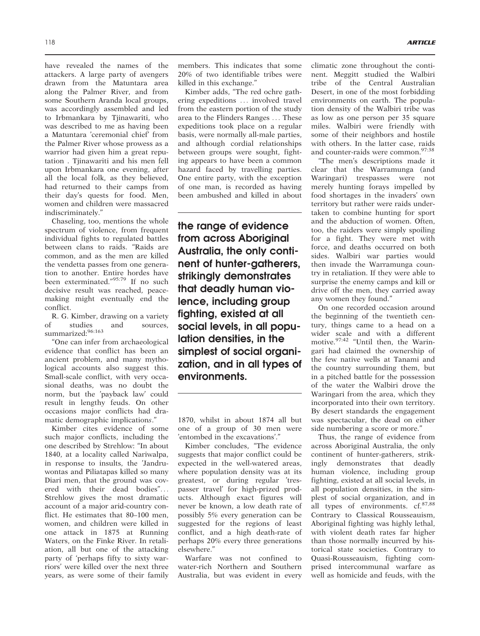118 **ARTICLE** 

have revealed the names of the attackers. A large party of avengers drawn from the Matuntara area along the Palmer River, and from some Southern Aranda local groups, was accordingly assembled and led to Irbmankara by Tjinawariti, who was described to me as having been a Matuntara 'ceremonial chief' from the Palmer River whose prowess as a warrior had given him a great reputation . Tjinawariti and his men fell upon Irbmankara one evening, after all the local folk, as they believed, had returned to their camps from their day's quests for food. Men, women and children were massacred indiscriminately."

Chaseling, too, mentions the whole spectrum of violence, from frequent individual fights to regulated battles between clans to raids. "Raids are common, and as the men are killed the vendetta passes from one generation to another. Entire hordes have been exterminated."95:79 If no such decisive result was reached, peacemaking might eventually end the conflict.

R. G. Kimber, drawing on a variety of studies and sources, summarized:<sup>96:163</sup>

"One can infer from archaeological evidence that conflict has been an ancient problem, and many mythological accounts also suggest this. Small-scale conflict, with very occasional deaths, was no doubt the norm, but the 'payback law' could result in lengthy feuds. On other occasions major conflicts had dramatic demographic implications."

Kimber cites evidence of some such major conflicts, including the one described by Strehlow: "In about 1840, at a locality called Nariwalpa, in response to insults, the 'Jandruwontas and Piliatapas killed so many Diari men, that the ground was covered with their dead bodies"... Strehlow gives the most dramatic account of a major arid-country conflict. He estimates that 80–100 men, women, and children were killed in one attack in 1875 at Running Waters, on the Finke River. In retaliation, all but one of the attacking party of 'perhaps fifty to sixty warriors' were killed over the next three years, as were some of their family members. This indicates that some 20% of two identifiable tribes were killed in this exchange."

Kimber adds, "The red ochre gathering expeditions ... involved travel from the eastern portion of the study area to the Flinders Ranges ... These expeditions took place on a regular basis, were normally all-male parties, and although cordial relationships between groups were sought, fighting appears to have been a common hazard faced by travelling parties. One entire party, with the exception of one man, is recorded as having been ambushed and killed in about

the range of evidence from across Aboriginal Australia, the only continent of hunter-gatherers, strikingly demonstrates that deadly human violence, including group fighting, existed at all social levels, in all population densities, in the simplest of social organization, and in all types of environments.

1870, whilst in about 1874 all but one of a group of 30 men were 'entombed in the excavations'.'

Kimber concludes, "The evidence suggests that major conflict could be expected in the well-watered areas, where population density was at its greatest, or during regular 'trespasser travel' for high-prized products. Although exact figures will never be known, a low death rate of possibly 5% every generation can be suggested for the regions of least conflict, and a high death-rate of perhaps 20% every three generations elsewhere."

Warfare was not confined to water-rich Northern and Southern Australia, but was evident in every climatic zone throughout the continent. Meggitt studied the Walbiri tribe of the Central Australian Desert, in one of the most forbidding environments on earth. The population density of the Walbiri tribe was as low as one person per 35 square miles. Walbiri were friendly with some of their neighbors and hostile with others. In the latter case, raids and counter-raids were common.<sup>97:38</sup>

"The men's descriptions made it clear that the Warramunga (and Waringari) trespasses were not merely hunting forays impelled by food shortages in the invaders' own territory but rather were raids undertaken to combine hunting for sport and the abduction of women. Often, too, the raiders were simply spoiling for a fight. They were met with force, and deaths occurred on both sides. Walbiri war parties would then invade the Warramunga country in retaliation. If they were able to surprise the enemy camps and kill or drive off the men, they carried away any women they found."

On one recorded occasion around the beginning of the twentieth century, things came to a head on a wider scale and with a different motive.97:42 "Until then, the Waringari had claimed the ownership of the few native wells at Tanami and the country surrounding them, but in a pitched battle for the possession of the water the Walbiri drove the Waringari from the area, which they incorporated into their own territory. By desert standards the engagement was spectacular, the dead on either side numbering a score or more."

Thus, the range of evidence from across Aboriginal Australia, the only continent of hunter-gatherers, strikingly demonstrates that deadly human violence, including group fighting, existed at all social levels, in all population densities, in the simplest of social organization, and in all types of environments. cf.<sup>87,88</sup> Contrary to Classical Rousseauism, Aboriginal fighting was highly lethal, with violent death rates far higher than those normally incurred by historical state societies. Contrary to Quasi-Rousseauism, fighting comprised intercommunal warfare as well as homicide and feuds, with the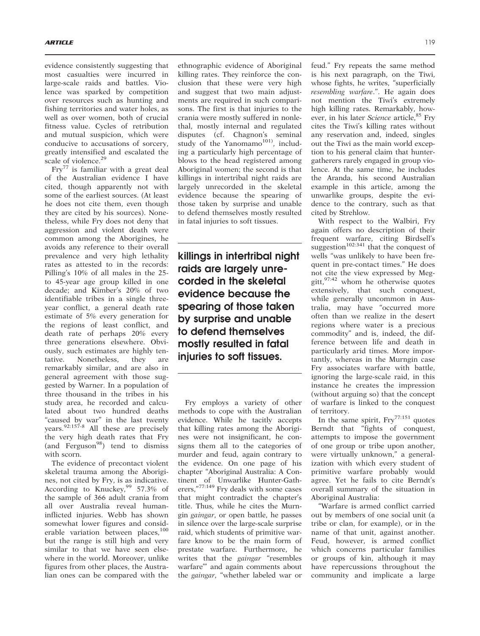evidence consistently suggesting that most casualties were incurred in large-scale raids and battles. Violence was sparked by competition over resources such as hunting and fishing territories and water holes, as well as over women, both of crucial fitness value. Cycles of retribution and mutual suspicion, which were conducive to accusations of sorcery, greatly intensified and escalated the scale of violence.<sup>29</sup>

 $Fry^{77}$  is familiar with a great deal of the Australian evidence I have cited, though apparently not with some of the earliest sources. (At least he does not cite them, even though they are cited by his sources). Nonetheless, while Fry does not deny that aggression and violent death were common among the Aborigines, he avoids any reference to their overall prevalence and very high lethality rates as attested to in the records: Pilling's 10% of all males in the 25 to 45-year age group killed in one decade; and Kimber's 20% of two identifiable tribes in a single threeyear conflict, a general death rate estimate of 5% every generation for the regions of least conflict, and death rate of perhaps 20% every three generations elsewhere. Obviously, such estimates are highly tentative. Nonetheless, they are remarkably similar, and are also in general agreement with those suggested by Warner. In a population of three thousand in the tribes in his study area, he recorded and calculated about two hundred deaths "caused by war" in the last twenty years.<sup>92:157-8</sup> All these are precisely the very high death rates that Fry (and Ferguson<sup>98</sup>) tend to dismiss with scorn.

The evidence of precontact violent skeletal trauma among the Aborigines, not cited by Fry, is as indicative. According to Knuckey,<sup>99</sup> 57.3% of the sample of 366 adult crania from all over Australia reveal humaninflicted injuries. Webb has shown somewhat lower figures and considerable variation between places,<sup>100</sup> but the range is still high and very similar to that we have seen elsewhere in the world. Moreover, unlike figures from other places, the Australian ones can be compared with the ethnographic evidence of Aboriginal killing rates. They reinforce the conclusion that these were very high and suggest that two main adjustments are required in such comparisons. The first is that injuries to the crania were mostly suffered in nonlethal, mostly internal and regulated disputes (cf. Chagnon's seminal study of the Yanomamo<sup>101)</sup>, including a particularly high percentage of blows to the head registered among Aboriginal women; the second is that killings in intertribal night raids are largely unrecorded in the skeletal evidence because the spearing of those taken by surprise and unable to defend themselves mostly resulted in fatal injuries to soft tissues.

killings in intertribal night raids are largely unrecorded in the skeletal evidence because the spearing of those taken by surprise and unable to defend themselves mostly resulted in fatal injuries to soft tissues.

Fry employs a variety of other methods to cope with the Australian evidence. While he tacitly accepts that killing rates among the Aborigines were not insignificant, he consigns them all to the categories of murder and feud, again contrary to the evidence. On one page of his chapter "Aboriginal Australia: A Continent of Unwarlike Hunter-Gatherers,"77:149 Fry deals with some cases that might contradict the chapter's title. Thus, while he cites the Murngin gaingar, or open battle, he passes in silence over the large-scale surprise raid, which students of primitive warfare know to be the main form of prestate warfare. Furthermore, he writes that the gaingar "resembles warfare'" and again comments about the gaingar, "whether labeled war or

feud." Fry repeats the same method is his next paragraph, on the Tiwi, whose fights, he writes, "superficially resembling warfare.". He again does not mention the Tiwi's extremely high killing rates. Remarkably, however, in his later Science article,<sup>85</sup> Fry cites the Tiwi's killing rates without any reservation and, indeed, singles out the Tiwi as the main world exception to his general claim that huntergatherers rarely engaged in group violence. At the same time, he includes the Aranda, his second Australian example in this article, among the unwarlike groups, despite the evidence to the contrary, such as that cited by Strehlow.

With respect to the Walbiri, Fry again offers no description of their frequent warfare, citing Birdsell's suggestion<sup>102:341</sup> that the conquest of wells "was unlikely to have been frequent in pre-contact times." He does not cite the view expressed by Meggitt, $97:42$  whom he otherwise quotes extensively, that such conquest, while generally uncommon in Australia, may have "occurred more often than we realize in the desert regions where water is a precious commodity" and is, indeed, the difference between life and death in particularly arid times. More importantly, whereas in the Murngin case Fry associates warfare with battle, ignoring the large-scale raid, in this instance he creates the impression (without arguing so) that the concept of warfare is linked to the conquest of territory.

In the same spirit,  $Fry^{77:151}$  quotes Berndt that "fights of conquest, attempts to impose the government of one group or tribe upon another, were virtually unknown," a generalization with which every student of primitive warfare probably would agree. Yet he fails to cite Berndt's overall summary of the situation in Aboriginal Australia:

"Warfare is armed conflict carried out by members of one social unit (a tribe or clan, for example), or in the name of that unit, against another. Feud, however, is armed conflict which concerns particular families or groups of kin, although it may have repercussions throughout the community and implicate a large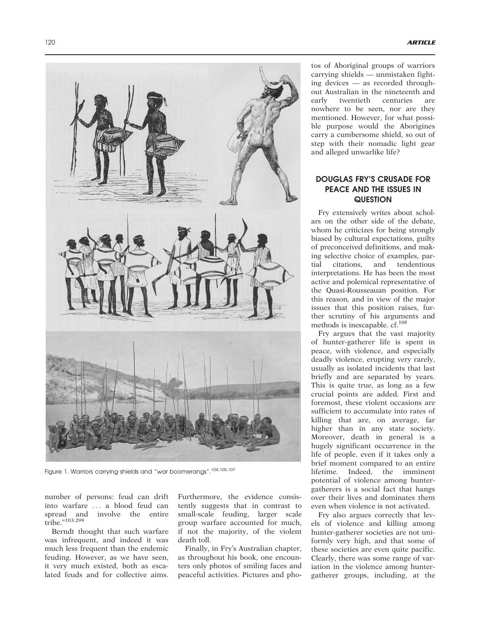

Figure 1. Warriors carrying shields and "war boomerangs".<sup>104,105,107</sup>

number of persons: feud can drift into warfare ... a blood feud can spread and involve the entire tribe."103:299

Berndt thought that such warfare was infrequent, and indeed it was much less frequent than the endemic feuding. However, as we have seen, it very much existed, both as escalated feuds and for collective aims.

Furthermore, the evidence consistently suggests that in contrast to small-scale feuding, larger scale group warfare accounted for much, if not the majority, of the violent death toll.

Finally, in Fry's Australian chapter, as throughout his book, one encounters only photos of smiling faces and peaceful activities. Pictures and pho-

tos of Aboriginal groups of warriors carrying shields — unmistaken fighting devices — as recorded throughout Australian in the nineteenth and early twentieth centuries are nowhere to be seen, nor are they mentioned. However, for what possible purpose would the Aborigines carry a cumbersome shield, so out of step with their nomadic light gear and alleged unwarlike life?

## DOUGLAS FRY'S CRUSADE FOR PEACE AND THE ISSUES IN **QUESTION**

Fry extensively writes about scholars on the other side of the debate, whom he criticizes for being strongly biased by cultural expectations, guilty of preconceived definitions, and making selective choice of examples, partial citations, and tendentious interpretations. He has been the most active and polemical representative of the Quasi-Rousseauan position. For this reason, and in view of the major issues that this position raises, further scrutiny of his arguments and methods is inescapable. cf.<sup>108</sup>

Fry argues that the vast majority of hunter-gatherer life is spent in peace, with violence, and especially deadly violence, erupting very rarely, usually as isolated incidents that last briefly and are separated by years. This is quite true, as long as a few crucial points are added. First and foremost, these violent occasions are sufficient to accumulate into rates of killing that are, on average, far higher than in any state society. Moreover, death in general is a hugely significant occurrence in the life of people, even if it takes only a brief moment compared to an entire lifetime. Indeed, the imminent potential of violence among huntergatherers is a social fact that hangs over their lives and dominates them even when violence is not activated.

Fry also argues correctly that levels of violence and killing among hunter-gatherer societies are not uniformly very high, and that some of these societies are even quite pacific. Clearly, there was some range of variation in the violence among huntergatherer groups, including, at the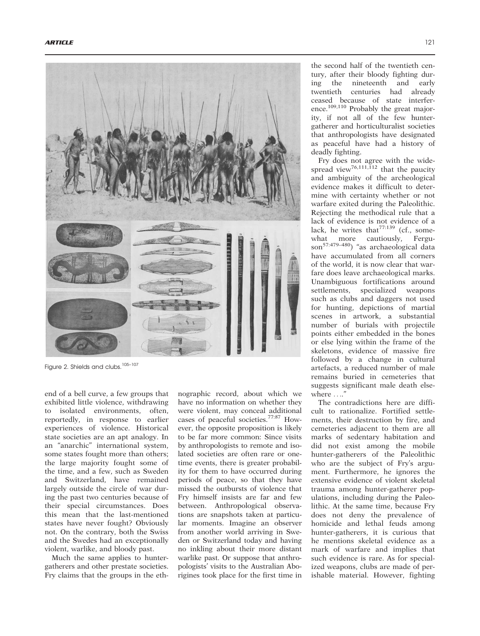

Figure 2. Shields and clubs.<sup>105-107</sup>

end of a bell curve, a few groups that exhibited little violence, withdrawing to isolated environments, often, reportedly, in response to earlier experiences of violence. Historical state societies are an apt analogy. In an "anarchic" international system, some states fought more than others; the large majority fought some of the time, and a few, such as Sweden and Switzerland, have remained largely outside the circle of war during the past two centuries because of their special circumstances. Does this mean that the last-mentioned states have never fought? Obviously not. On the contrary, both the Swiss and the Swedes had an exceptionally violent, warlike, and bloody past.

Much the same applies to huntergatherers and other prestate societies. Fry claims that the groups in the ethnographic record, about which we have no information on whether they were violent, may conceal additional cases of peaceful societies.77:87 However, the opposite proposition is likely to be far more common: Since visits by anthropologists to remote and isolated societies are often rare or onetime events, there is greater probability for them to have occurred during periods of peace, so that they have missed the outbursts of violence that Fry himself insists are far and few between. Anthropological observations are snapshots taken at particular moments. Imagine an observer from another world arriving in Sweden or Switzerland today and having no inkling about their more distant warlike past. Or suppose that anthropologists' visits to the Australian Aborigines took place for the first time in

the second half of the twentieth century, after their bloody fighting during the nineteenth and early twentieth centuries had already ceased because of state interference.109,110 Probably the great majority, if not all of the few huntergatherer and horticulturalist societies that anthropologists have designated as peaceful have had a history of deadly fighting.

Fry does not agree with the widespread view<sup>76,111,112</sup> that the paucity and ambiguity of the archeological evidence makes it difficult to determine with certainty whether or not warfare exited during the Paleolithic. Rejecting the methodical rule that a lack of evidence is not evidence of a lack, he writes that $77:139$  (cf., somewhat more cautiously, Ferguson57:479–480) "as archaeological data have accumulated from all corners of the world, it is now clear that warfare does leave archaeological marks. Unambiguous fortifications around settlements, specialized weapons such as clubs and daggers not used for hunting, depictions of martial scenes in artwork, a substantial number of burials with projectile points either embedded in the bones or else lying within the frame of the skeletons, evidence of massive fire followed by a change in cultural artefacts, a reduced number of male remains buried in cemeteries that suggests significant male death elsewhere ....'

The contradictions here are difficult to rationalize. Fortified settlements, their destruction by fire, and cemeteries adjacent to them are all marks of sedentary habitation and did not exist among the mobile hunter-gatherers of the Paleolithic who are the subject of Fry's argument. Furthermore, he ignores the extensive evidence of violent skeletal trauma among hunter-gatherer populations, including during the Paleolithic. At the same time, because Fry does not deny the prevalence of homicide and lethal feuds among hunter-gatherers, it is curious that he mentions skeletal evidence as a mark of warfare and implies that such evidence is rare. As for specialized weapons, clubs are made of perishable material. However, fighting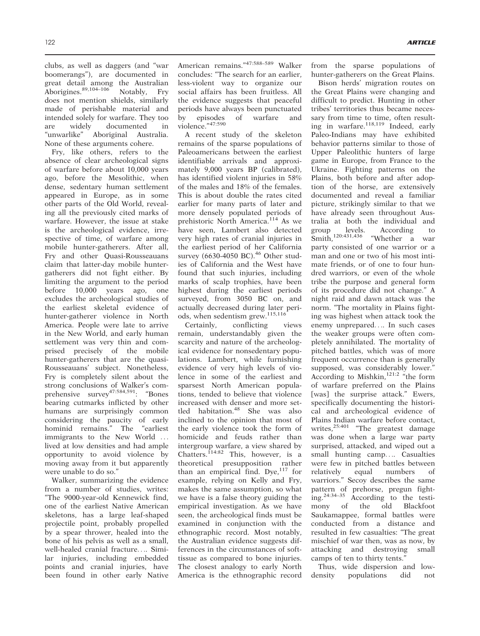clubs, as well as daggers (and "war boomerangs"), are documented in great detail among the Australian Aborigines.<sup>89,104–106</sup> Notably, Fry does not mention shields, similarly made of perishable material and intended solely for warfare. They too are widely documented in "unwarlike" Aboriginal Australia. None of these arguments cohere.

Fry, like others, refers to the absence of clear archeological signs of warfare before about 10,000 years ago, before the Mesolithic, when dense, sedentary human settlement appeared in Europe, as in some other parts of the Old World, revealing all the previously cited marks of warfare. However, the issue at stake is the archeological evidence, irrespective of time, of warfare among mobile hunter-gatherers. After all, Fry and other Quasi-Rousseauans claim that latter-day mobile huntergatherers did not fight either. By limiting the argument to the period before 10,000 years ago, one excludes the archeological studies of the earliest skeletal evidence of hunter-gatherer violence in North America. People were late to arrive in the New World, and early human settlement was very thin and comprised precisely of the mobile hunter-gatherers that are the quasi-Rousseauans' subject. Nonetheless, Fry is completely silent about the strong conclusions of Walker's comprehensive survey<sup>47:584,591</sup>: "Bones bearing cutmarks inflicted by other humans are surprisingly common considering the paucity of early hominid remains." The "earliest immigrants to the New World ... lived at low densities and had ample opportunity to avoid violence by moving away from it but apparently were unable to do so."

Walker, summarizing the evidence from a number of studies, writes: "The 9000-year-old Kennewick find, one of the earliest Native American skeletons, has a large leaf-shaped projectile point, probably propelled by a spear thrower, healed into the bone of his pelvis as well as a small, well-healed cranial fracture.... Similar injuries, including embedded points and cranial injuries, have been found in other early Native

American remains."47:588–589 Walker concludes: "The search for an earlier, less-violent way to organize our social affairs has been fruitless. All the evidence suggests that peaceful periods have always been punctuated by episodes of warfare and violence."47:590

A recent study of the skeleton remains of the sparse populations of Paleoamericans between the earliest identifiable arrivals and approximately 9,000 years BP (calibrated), has identified violent injuries in 58% of the males and 18% of the females. This is about double the rates cited earlier for many parts of later and more densely populated periods of prehistoric North America.<sup>114</sup> As we have seen, Lambert also detected very high rates of cranial injuries in the earliest period of her California survey (6630-4050 BC).<sup>46</sup> Other studies of California and the West have found that such injuries, including marks of scalp trophies, have been highest during the earliest periods surveyed, from 3050 BC on, and actually decreased during later periods, when sedentism grew.115,116

Certainly, conflicting views remain, understandably given the scarcity and nature of the archeological evidence for nonsedentary populations. Lambert, while furnishing evidence of very high levels of violence in some of the earliest and sparsest North American populations, tended to believe that violence increased with denser and more settled habitation.<sup>48</sup> She was also inclined to the opinion that most of the early violence took the form of homicide and feuds rather than intergroup warfare, a view shared by Chatters.<sup>114:82</sup> This, however, is a theoretical presupposition rather than an empirical find. Dye, $117$  for example, relying on Kelly and Fry, makes the same assumption, so what we have is a false theory guiding the empirical investigation. As we have seen, the archeological finds must be examined in conjunction with the ethnographic record. Most notably, the Australian evidence suggests differences in the circumstances of softtissue as compared to bone injuries. The closest analogy to early North America is the ethnographic record from the sparse populations of hunter-gatherers on the Great Plains.

Bison herds' migration routes on the Great Plains were changing and difficult to predict. Hunting in other tribes' territories thus became necessary from time to time, often resulting in warfare.<sup>118,119</sup> Indeed, early Paleo-Indians may have exhibited behavior patterns similar to those of Upper Paleolithic hunters of large game in Europe, from France to the Ukraine. Fighting patterns on the Plains, both before and after adoption of the horse, are extensively documented and reveal a familiar picture, strikingly similar to that we have already seen throughout Australia at both the individual and group levels. According to<br>Smith,<sup>120:431,436</sup> "Whether a war "Whether a war party consisted of one warrior or a man and one or two of his most intimate friends, or of one to four hundred warriors, or even of the whole tribe the purpose and general form of its procedure did not change." A night raid and dawn attack was the norm. "The mortality in Plains fighting was highest when attack took the enemy unprepared.... In such cases the weaker groups were often completely annihilated. The mortality of pitched battles, which was of more frequent occurrence than is generally supposed, was considerably lower." According to Mishkin,  $121:2$  "the form of warfare preferred on the Plains [was] the surprise attack." Ewers, specifically documenting the historical and archeological evidence of Plains Indian warfare before contact, writes,<sup>25:401</sup> "The greatest damage was done when a large war party surprised, attacked, and wiped out a small hunting camp.... Casualties were few in pitched battles between relatively equal numbers of warriors." Secoy describes the same pattern of prehorse, pregun fighting.24:34–35 According to the testimony of the old Blackfoot Saukamappee, formal battles were conducted from a distance and resulted in few casualties: "The great mischief of war then, was as now, by attacking and destroying small camps of ten to thirty tents."

Thus, wide dispersion and lowdensity populations did not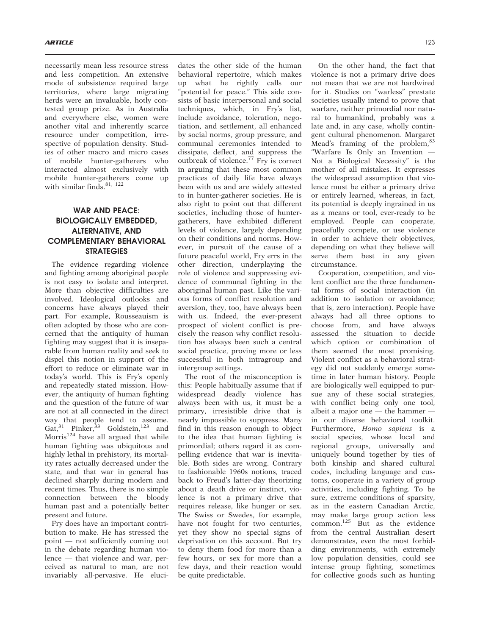necessarily mean less resource stress and less competition. An extensive mode of subsistence required large territories, where large migrating herds were an invaluable, hotly contested group prize. As in Australia and everywhere else, women were another vital and inherently scarce resource under competition, irrespective of population density. Studies of other macro and micro cases of mobile hunter-gatherers who interacted almost exclusively with mobile hunter-gatherers come up with similar finds. $81, 122$ 

## WAR AND PEACE: BIOLOGICALLY EMBEDDED, ALTERNATIVE, AND COMPLEMENTARY BEHAVIORAL **STRATEGIES**

The evidence regarding violence and fighting among aboriginal people is not easy to isolate and interpret. More than objective difficulties are involved. Ideological outlooks and concerns have always played their part. For example, Rousseauism is often adopted by those who are concerned that the antiquity of human fighting may suggest that it is inseparable from human reality and seek to dispel this notion in support of the effort to reduce or eliminate war in today's world. This is Fry's openly and repeatedly stated mission. However, the antiquity of human fighting and the question of the future of war are not at all connected in the direct way that people tend to assume. Gat, $3^1$  Pinker, $3^3$  Goldstein,  $1^{23}$  and Morris $124$  have all argued that while human fighting was ubiquitous and highly lethal in prehistory, its mortality rates actually decreased under the state, and that war in general has declined sharply during modern and recent times. Thus, there is no simple connection between the bloody human past and a potentially better present and future.

Fry does have an important contribution to make. He has stressed the point — not sufficiently coming out in the debate regarding human violence — that violence and war, perceived as natural to man, are not invariably all-pervasive. He elucidates the other side of the human behavioral repertoire, which makes up what he rightly calls our "potential for peace." This side consists of basic interpersonal and social techniques, which, in Fry's list, include avoidance, toleration, negotiation, and settlement, all enhanced by social norms, group pressure, and communal ceremonies intended to dissipate, deflect, and suppress the outbreak of violence.77 Fry is correct in arguing that these most common practices of daily life have always been with us and are widely attested to in hunter-gatherer societies. He is also right to point out that different societies, including those of huntergatherers, have exhibited different levels of violence, largely depending on their conditions and norms. However, in pursuit of the cause of a future peaceful world, Fry errs in the other direction, underplaying the role of violence and suppressing evidence of communal fighting in the aboriginal human past. Like the various forms of conflict resolution and aversion, they, too, have always been with us. Indeed, the ever-present prospect of violent conflict is precisely the reason why conflict resolution has always been such a central social practice, proving more or less successful in both intragroup and intergroup settings.

The root of the misconception is this: People habitually assume that if widespread deadly violence has always been with us, it must be a primary, irresistible drive that is nearly impossible to suppress. Many find in this reason enough to object to the idea that human fighting is primordial; others regard it as compelling evidence that war is inevitable. Both sides are wrong. Contrary to fashionable 1960s notions, traced back to Freud's latter-day theorizing about a death drive or instinct, violence is not a primary drive that requires release, like hunger or sex. The Swiss or Swedes, for example, have not fought for two centuries, yet they show no special signs of deprivation on this account. But try to deny them food for more than a few hours, or sex for more than a few days, and their reaction would be quite predictable.

On the other hand, the fact that violence is not a primary drive does not mean that we are not hardwired for it. Studies on "warless" prestate societies usually intend to prove that warfare, neither primordial nor natural to humankind, probably was a late and, in any case, wholly contingent cultural phenomenon. Margaret Mead's framing of the problem, $83$ "Warfare Is Only an Invention — Not a Biological Necessity" is the mother of all mistakes. It expresses the widespread assumption that violence must be either a primary drive or entirely learned, whereas, in fact, its potential is deeply ingrained in us as a means or tool, ever-ready to be employed. People can cooperate, peacefully compete, or use violence in order to achieve their objectives, depending on what they believe will serve them best in any given circumstance.

Cooperation, competition, and violent conflict are the three fundamental forms of social interaction (in addition to isolation or avoidance; that is, zero interaction). People have always had all three options to choose from, and have always assessed the situation to decide which option or combination of them seemed the most promising. Violent conflict as a behavioral strategy did not suddenly emerge sometime in later human history. People are biologically well equipped to pursue any of these social strategies, with conflict being only one tool, albeit a major one — the hammer in our diverse behavioral toolkit. Furthermore, Homo sapiens is a social species, whose local and regional groups, universally and uniquely bound together by ties of both kinship and shared cultural codes, including language and customs, cooperate in a variety of group activities, including fighting. To be sure, extreme conditions of sparsity, as in the eastern Canadian Arctic, may make large group action less common.125 But as the evidence from the central Australian desert demonstrates, even the most forbidding environments, with extremely low population densities, could see intense group fighting, sometimes for collective goods such as hunting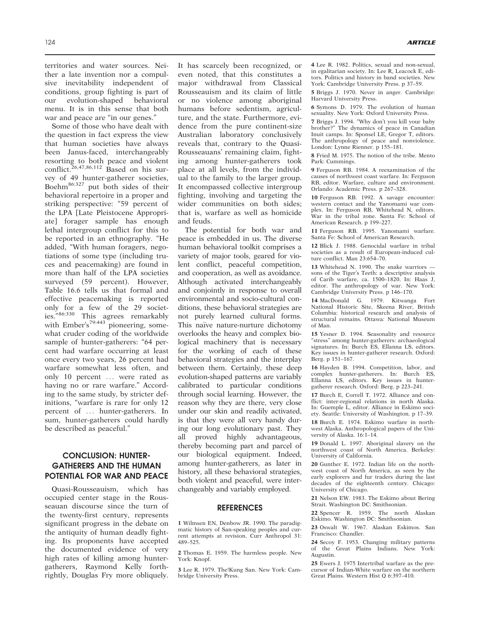territories and water sources. Neither a late invention nor a compulsive inevitability independent of conditions, group fighting is part of our evolution-shaped behavioral menu. It is in this sense that both war and peace are "in our genes."

Some of those who have dealt with the question in fact express the view that human societies have always been Janus-faced, interchangeably resorting to both peace and violent conflict.<sup>26,47,86,112</sup> Based on his survey of 49 hunter-gatherer societies, Boehm<sup>86:327</sup> put both sides of their behavioral repertoire in a proper and striking perspective: "59 percent of the LPA [Late Pleistocene Appropriate] forager sample has enough lethal intergroup conflict for this to be reported in an ethnography. "He added, "With human foragers, negotiations of some type (including truces and peacemaking) are found in more than half of the LPA societies surveyed (59 percent). However, Table 16.6 tells us that formal and effective peacemaking is reported only for a few of the 29 societies."86:330 This agrees remarkably with Ember's<sup>79:443</sup> pioneering, somewhat cruder coding of the worldwide sample of hunter-gatherers: "64 percent had warfare occurring at least once every two years, 26 percent had warfare somewhat less often, and only 10 percent ... were rated as having no or rare warfare." According to the same study, by stricter definitions, "warfare is rare for only 12 percent of ... hunter-gatherers. In sum, hunter-gatherers could hardly be described as peaceful."

#### CONCLUSION: HUNTER-GATHERERS AND THE HUMAN POTENTIAL FOR WAR AND PEACE

Quasi-Rousseauism, which has occupied center stage in the Rousseauan discourse since the turn of the twenty-first century, represents significant progress in the debate on the antiquity of human deadly fighting. Its proponents have accepted the documented evidence of very high rates of killing among huntergatherers, Raymond Kelly forthrightly, Douglas Fry more obliquely. It has scarcely been recognized, or even noted, that this constitutes a major withdrawal from Classical Rousseauism and its claim of little or no violence among aboriginal humans before sedentism, agriculture, and the state. Furthermore, evidence from the pure continent-size Australian laboratory conclusively reveals that, contrary to the Quasi-Rousseauans' remaining claim, fighting among hunter-gatherers took place at all levels, from the individual to the family to the larger group. It encompassed collective intergroup fighting, involving and targeting the wider communities on both sides; that is, warfare as well as homicide and feuds.

The potential for both war and peace is embedded in us. The diverse human behavioral toolkit comprises a variety of major tools, geared for violent conflict, peaceful competition, and cooperation, as well as avoidance. Although activated interchangeably and conjointly in response to overall environmental and socio-cultural conditions, these behavioral strategies are not purely learned cultural forms. This naïve nature-nurture dichotomy overlooks the heavy and complex biological machinery that is necessary for the working of each of these behavioral strategies and the interplay between them. Certainly, these deep evolution-shaped patterns are variably calibrated to particular conditions through social learning. However, the reason why they are there, very close under our skin and readily activated, is that they were all very handy during our long evolutionary past. They all proved highly advantageous, thereby becoming part and parcel of our biological equipment. Indeed, among hunter-gatherers, as later in history, all these behavioral strategies, both violent and peaceful, were interchangeably and variably employed.

#### **REFERENCES**

1 Wilmsen EN, Denbow JR. 1990. The paradigmatic history of San-speaking peoples and current attempts at revision. Curr Anthropol 31: 489–525.

2 Thomas E. 1959. The harmless people. New York: Knopf.

3 Lee R. 1979. The!Kung San. New York: Cambridge University Press.

4 Lee R. 1982. Politics, sexual and non-sexual, in egalitarian society. In: Lee R, Leacock E, editors. Politics and history in band societies. New York: Cambridge University Press. p 37–59.

5 Briggs J. 1970. Never in anger. Cambridge: Harvard University Press.

6 Symons D. 1979. The evolution of human sexuality. New York: Oxford University Press.

7 Briggs J. 1994. "Why don't you kill your baby brother?" The dynamics of peace in Canadian Inuit camps. In: Sponsel LE, Gregor T, editors. The anthropology of peace and nonviolence. London: Lynne Rienner. p 155–181.

8 Fried M. 1975. The notion of the tribe. Mento Park: Cummings.

9 Ferguson RB. 1984. A reexamination of the causes of northwest coast warfare. In: Ferguson RB, editor. Warfare, culture and environment. Orlando: Academic Press. p 267–328.

10 Ferguson RB. 1992. A savage encounter: western contact and the Yanomami war complex. In: Ferguson RB, Whitehead N, editors. War in the tribal zone. Santa Fe: School of American Research. p 199–227.

11 Ferguson RB. 1995. Yanomami warfare. Santa Fe: School of American Research.

12 Blick J. 1988. Genocidal warfare in tribal societies as a result of European-induced culture conflict. Man 23:654–70.

13 Whitehead N. 1990. The snake warriors sons of the Tiger's Teeth: a descriptive analysis of Carib warfare, ca. 1500–1820. In: Haas J, editor. The anthropology of war. New York: Cambridge University Press. p 146–170.

14 MacDonald G. 1979. Kitwanga Fort National Historic Site, Skeena River, British Columbia: historical research and analysis of structural remains. Ottawa: National Museum of Man.

15 Yesner D. 1994. Seasonality and resource "stress" among hunter-gatherers: archaeological signatures. In: Burch ES, Ellanna LS, editors. Key issues in hunter-gatherer research. Oxford: Berg. p 151–167.

16 Hayden B. 1994. Competition, labor, and complex hunter-gatherers. In: Burch ES, Ellanna LS, editors. Key issues in huntergatherer research. Oxford: Berg. p 223–241.

17 Burch E, Correll T. 1972. Alliance and conflict: inter-regional relations in north Alaska In: Guemple L, editor. Alliance in Eskimo society. Seattle: University of Washington. p 17–39.

18 Burch E. 1974. Eskimo warfare in northwest Alaska. Anthropological papers of the University of Alaska. 16:1–14.

19 Donald L. 1997. Aboriginal slavery on the northwest coast of North America. Berkeley: University of California.

20 Gunther E. 1972. Indian life on the northwest coast of North America, as seen by the early explorers and fur traders during the last decades of the eighteenth century. Chicago: University of Chicago.

21 Nelson EW. 1983. The Eskimo about Bering Strait. Washington DC: Smithsonian.

22 Spencer R. 1959. The north Alaskan Eskimo. Washington DC: Smithsonian.

23 Oswalt W. 1967. Alaskan Eskimos. San Francisco: Chandler.

24 Secoy F. 1953. Changing military patterns of the Great Plains Indians. New York: Augustin.

25 Ewers J. 1975 Intertribal warfare as the precursor of Indian-White warfare on the northern Great Plains. Western Hist Q 6:397–410.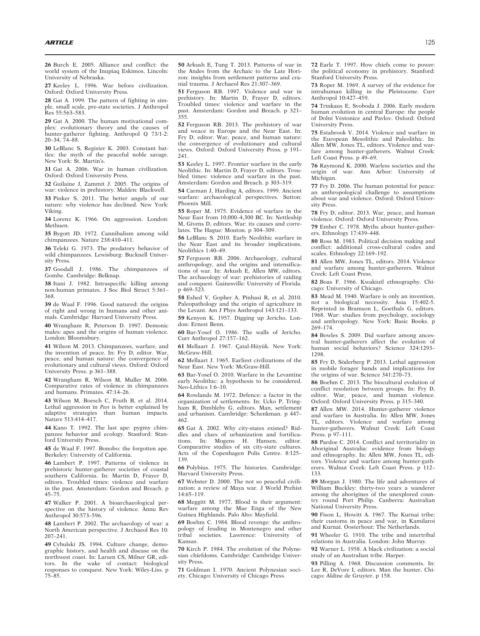26 Burch E. 2005. Alliance and conflict: the world system of the Inupiaq Eskimos. Lincoln: University of Nebraska.

27 Keeley L. 1996. War before civilization. Oxford: Oxford University Press.

28 Gat A. 1999. The pattern of fighting in simple, small scale, pre-state societies. J Anthropol Res 55:563–583.

29 Gat A. 2000. The human motivational complex: evolutionary theory and the causes of hunter-gatherer fighting. Anthropol Q 73/1-2: 20–34, 74–88.

30 LeBlanc S, Register K. 2003. Constant battles: the myth of the peaceful noble savage. New York: St. Martin's.

31 Gat A. 2006. War in human civilization. Oxford: Oxford University Press.

32 Guilaine J, Zammit J. 2005. The origins of war: violence in prehistory. Malden: Blackwell.

33 Pinker S. 2011. The better angels of our nature: why violence has declined. New York: Viking.

34 Lorenz K. 1966. On aggression. London: Methuen.

35 Bygott JD. 1972. Cannibalism among wild chimpanzees. Nature 238:410–411.

36 Teleki G. 1973. The predatory behavior of wild chimpanzees. Lewisburg: Bucknell University Press.

37 Goodall J. 1986. The chimpanzees of Gombe. Cambridge: Belknap.

38 Itani J. 1982. Intraspecific killing among non-human primates. J Soc Biol Struct 5:361– 368.

39 de Waal F. 1996. Good natured: the origins of right and wrong in humans and other animals. Cambridge: Harvard University Press.

40 Wrangham R, Peterson D. 1997. Demonic males: apes and the origins of human violence. London: Bloomsbury.

41 Wilson M. 2013. Chimpanzees, warfare, and the invention of peace. In: Fry D, editor. War, peace, and human nature: the convergence of evolutionary and cultural views. Oxford: Oxford University Press. p 361–388.

42 Wrangham R, Wilson M, Muller M. 2006. Comparative rates of violence in chimpanzees and humans. Primates. 47:14–26.

43 Wilson M, Boesch C, Fruth B, et al. 2014. Lethal aggression in Pan is better explained by adaptive strategies than human impacts. Nature 513:414–417.

44 Kano T. 1992. The last ape: pygmy chimpanzee behavior and ecology. Stanford: Stanford University Press.

45 de Waal F. 1997. Bonobo: the forgotten ape. Berkeley: University of California.

46 Lambert P. 1997. Patterns of violence in prehistoric hunter-gatherer societies of coastal southern California. In: Martin D, Frayer D, editors. Troubled times: violence and warfare in the past. Amsterdam: Gordon and Breach. p 45–75.

47 Walker P. 2001. A bioarchaeological perspective on the history of violence. Annu Rev Anthropol 30:573–596.

48 Lambert P. 2002. The archaeology of war: a North American perspective. J Archaeol Res 10: 207–241.

49 Cybulski JS. 1994. Culture change, demographic history, and health and disease on the northwest coast. In: Larsen CS, Milner GR, editors. In the wake of contact: biological responses to conquest. New York: Wiley-Liss. p 75–85.

50 Arkush E, Tung T. 2013. Patterns of war in the Andes from the Archaic to the Late Horizon: insights from settlement patterns and cranial trauma. J Archaeol Res 21:307–369.

51 Ferguson RB. 1997. Violence and war in prehistory. In: Martin D, Frayer D, editors. Troubled times: violence and warfare in the past. Amsterdam: Gordon and Breach. p 321–  $355.$ 

52 Ferguson RB. 2013. The prehistory of war and weace in Europe and the Near East. In: Fry D, editor. War, peace, and human nature: the convergence of evolutionary and cultural views. Oxford: Oxford University Press. p 191– 241.

53 Keeley L. 1997. Frontier warfare in the early Neolithic. In: Martin D, Frayer D, editors. Troubled times: violence and warfare in the past. Amsterdam: Gordon and Breach. p 303–319.

54 Carman J, Harding A, editors. 1999. Ancient warfare: archaeological perspectives. Sutton: Phoenix Mill.

55 Roper M. 1975. Evidence of warfare in the Near East from 10,000–4,300 BC. In: Nettleship M, Givens D, editors. War: its causes and correlates. The Hague: Mouton. p 304–309.

56 LeBlanc S. 2010. Early Neolithic warfare in the Near East and its broader implications. Neolithics 1:40–49.

57 Ferguson RB. 2006. Archaeology, cultural anthropology, and the origins and intensifications of war. In: Arkush E, Allen MW, editors. The archaeology of war: prehistories of raiding and conquest. Gainesville: University of Florida. p 469–523.

58 Eshed V, Gopher A, Pinhasi R, et al. 2010. Paleopathology and the origin of agriculture in the Levant. Am J Phys Anthropol 143:121–133. 59 Kenyon K. 1957. Digging up Jericho. Lon-

don: Ernest Benn.

60 Bar-Yosef O. 1986. The walls of Jericho. Curr Anthropol 27:157–162.

61 Mellaart J. 1967. Catal-Hüyük. New York: McGraw-Hill.

62 Mellaart J. 1965. Earliest civilizations of the Near East. New York: McGraw-Hill.

63 Bar-Yosef O. 2010. Warfare in the Levantine early Neolithic: a hypothesis to be considered. Neo-Lithics 1:6–10.

64 Rowlands M. 1972. Defence: a factor in the organization of settlements. In: Ucko P, Tringham R, Dimbleby G, editors. Man, settlement and urbanism. Cambridge: Schenkman. p 447– 462.

65 Gat A. 2002. Why city-states existed? Riddles and clues of urbanization and fortifica-<br>tions. In: Mogens H. Hansen, editor. tions. In: Mogens H. Hansen, Comparative studies of six city-state cultures. Acts of the Copenhagen Polis Centre. 8:125– 139.

66 Polybius. 1975. The histories. Cambridge: Harvard University Press.

67 Webster D. 2000. The not so peaceful civilization: a review of Maya war. J World Prehist 14:65–119.

68 Meggitt M. 1977. Blood is their argument: warfare among the Mae Enga of the New Guinea Highlands. Palo Alto: Mayfield.

69 Boehm C. 1984. Blood revenge: the anthropology of feuding in Montenegro and other tribal societies. Lawrence: University of Kansas.

70 Kirch P. 1984. The evolution of the Polynesian chiefdoms. Cambridge: Cambridge University Press.

71 Goldman I. 1970. Ancient Polynesian society. Chicago: University of Chicago Press.

72 Earle T. 1997. How chiefs come to power: the political economy in prehistory. Stanford: Stanford University Press.

73 Roper M. 1969. A survey of the evidence for intrahuman killing in the Pleistocene. Curr Anthropol 10:427–459.

74 Trinkaus E, Svoboda J. 2006. Early modern human evolution in central Europe: the people of Dolní Věstonice and Pavlov. Oxford: Oxford University Press.

75 Estabrook V. 2014. Violence and warfare in the European Mesolithic and Paleolithic. In: Allen MW, Jones TL, editors. Violence and warfare among hunter-gatherers. Walnut Creek: Left Coast Press. p 49–69.

76 Raymond K. 2000. Warless societies and the origin of war. Ann Arbor: University of Michigan.

77 Fry D. 2006. The human potential for peace: an anthropological challenge to assumptions about war and violence. Oxford: Oxford University Press.

78 Fry D, editor. 2013. War, peace, and human violence. Oxford: Oxford University Press.

79 Ember C. 1978. Myths about hunter-gatherers. Ethnology 17:439–448.

80 Ross M. 1983. Political decision making and conflict: additional cross-cultural codes and scales. Ethnology 22:169–192.

81 Allen MW, Jones TL, editors. 2014. Violence and warfare among hunter-gatherers. Walnut Creek: Left Coast Press.

82 Boas F. 1966. Kwakiutl ethnography. Chicago: University of Chicago.

83 Mead M. 1940. Warfare is only an invention, not a biological necessity. Asia 15:402-5. Reprinted in Bramson L, Goethals G, editors. 1968. War: studies from psychology, sociology and anthropology. New York: Basic Books. p 269–174.

84 Bowles S. 2009. Did warfare among ancestral hunter-gatherers affect the evolution of human social behaviors? Science 324:1293– 1298.

85 Fry D, Söderberg P. 2013. Lethal aggression in mobile forager bands and implications for the origins of war. Science 341:270–73.

86 Boehm C. 2013. The biocultural evolution of conflict resolution between groups. In: Fry D, editor. War, peace, and human violence. Oxford: Oxford University Press. p 315–340.

87 Allen MW. 2014. Hunter-gatherer violence and warfare in Australia. In: Allen MW, Jones TL, editors. Violence and warfare among hunter-gatherers. Walnut Creek: Left Coast Press. p 97–111.

88 Pardoe C. 2014. Conflict and territoriality in Aboriginal Australia: evidence from biology and ethnography. In: Allen MW, Jones TL, editors. Violence and warfare among hunter-gatherers. Walnut Creek: Left Coast Press. p 112– 133.

89 Morgan J. 1980. The life and adventures of William Buckley: thirty-two years a wanderer among the aborigines of the unexplored country round Port Philip. Canberra: Australian National University Press.

90 Fison L, Howitt A. 1967. The Kurnai tribe: their customs in peace and war, in Kamilaroi and Kurnai. Oosterhout: The Netherlands.

91 Wheeler G. 1910. The tribe and intertribal relations in Australia. London: John Murray.

92 Warner L. 1958. A black civilization: a social study of an Australian tribe. Harper.

93 Pilling A. 1968. Discussion comments. In: Lee R, DeVore I, editors. Man the hunter. Chicago: Aldine de Gruyter. p 158.